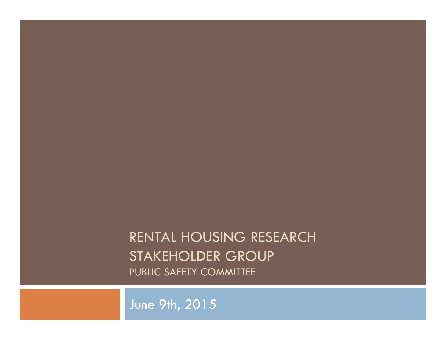## RENTAL HOUSING RESEARCH STAKEHOLDER GROUP PUBLIC SAFETY COMMITTEE

June 9th, 2015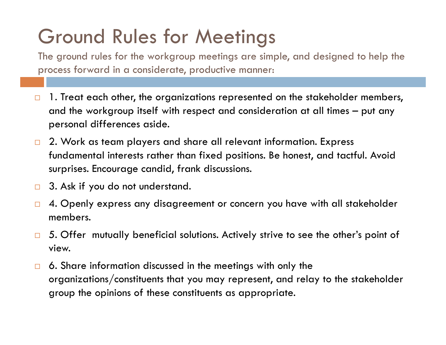## Ground Rules for Meetings

The ground rules for the workgroup meetings are simple, and designed to help the process forward in a considerate, productive manner:

- $\Box$  1. Treat each other, the organizations represented on the stakeholder members, and the workgroup itself with respect and consideration at all times – put any personal differences aside.
- $\Box$  2. Work as team players and share all relevant information. Express fundamental interests rather than fixed positions. Be honest, and tactful. Avoid surprises. Encourage candid, frank discussions.
- $\Box$ 3. Ask if you do not understand.
- $\Box$  4. Openly express any disagreement or concern you have with all stakeholder members.
- $\Box$  5. Offer mutually beneficial solutions. Actively strive to see the other's point of view.
- $\Box$  6. Share information discussed in the meetings with only the organizations/constituents that you may represent, and relay to the stakeholder group the opinions of these constituents as appropriate.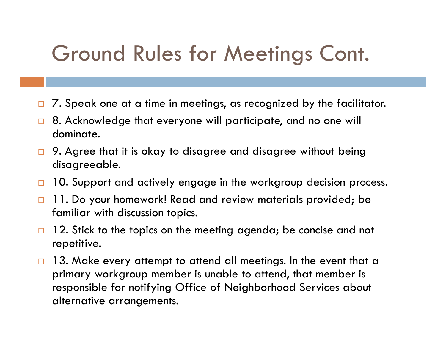## Ground Rules for Meetings Cont.

- $\Box$ 7. Speak one at a time in meetings, as recognized by the facilitator.
- $\Box$  8. Acknowledge that everyone will participate, and no one will dominate.
- $\Box$  9. Agree that it is okay to disagree and disagree without being disagreeable.
- $\Box$ 10. Support and actively engage in the workgroup decision process.
- $\Box$  11. Do your homework! Read and review materials provided; be familiar with discussion topics.
- $\Box$  12. Stick to the topics on the meeting agenda; be concise and not repetitive.
- $\Box$  13. Make every attempt to attend all meetings. In the event that a primary workgroup member is unable to attend, that member is responsible for notifying Office of Neighborhood Services about alternative arrangements.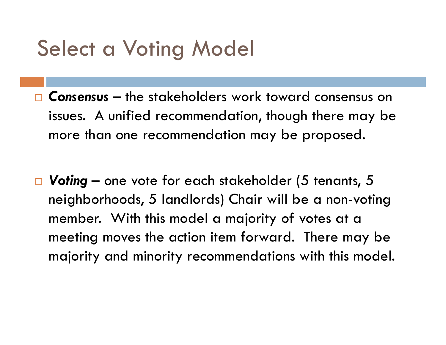## Select a Voting Model

- *Consensus* the stakeholders work toward consensus on issues. A unified recommendation, though there may be more than one recommendation may be proposed.
- *Voting* one vote for each stakeholder (5 tenants, 5 neighborhoods, 5 landlords) Chair will be a non-voting member. With this model a majority of votes at a meeting moves the action item forward. There may be majority and minority recommendations with this model.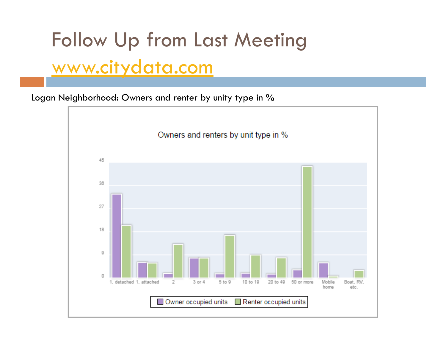# Follow Up from Last Meeting www.citydata.com

Logan Neighborhood: Owners and renter by unity type in %

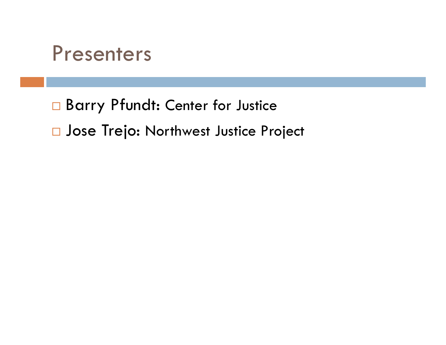## Presenters

□ Barry Pfundt: Center for Justice **<u>n</u>** Jose Trejo: Northwest Justice Project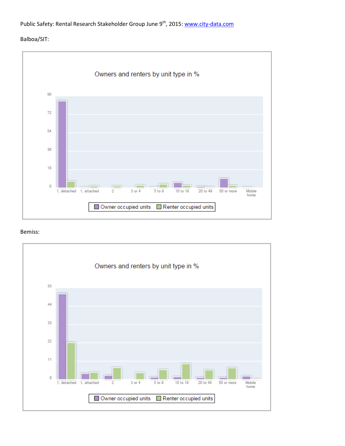#### Balboa/SIT:



#### Bemiss:

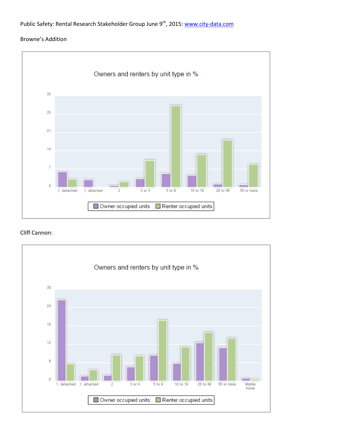#### Browne's Addition



#### Cliff Cannon:

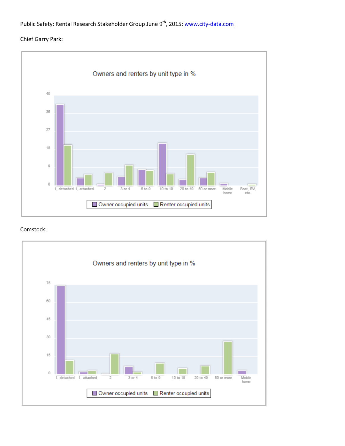### Chief Garry Park:



#### Comstock:

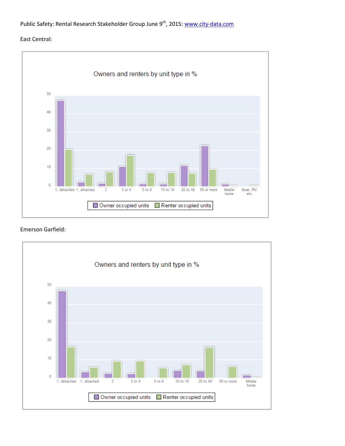#### East Central:



#### Emerson Garfield:

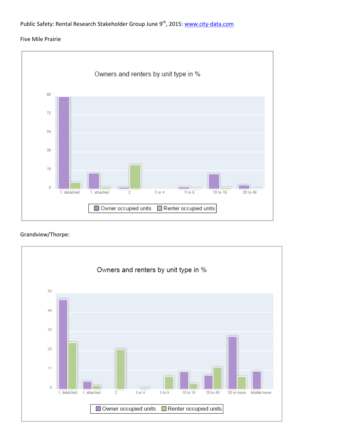#### Five Mile Prairie



#### Grandview/Thorpe:

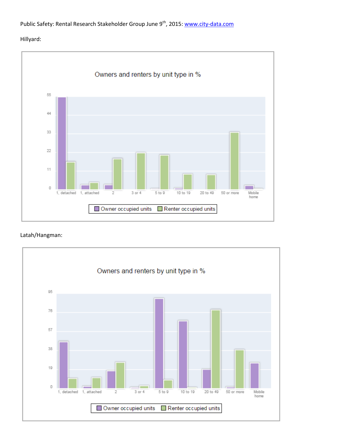#### Hillyard:



#### Latah/Hangman:

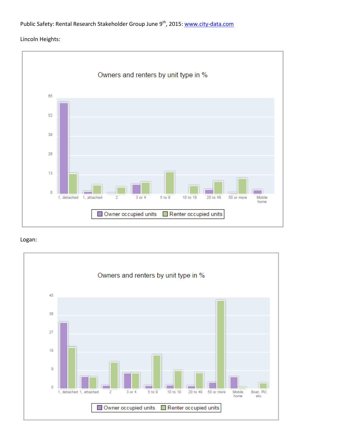#### Lincoln Heights:



#### Logan:

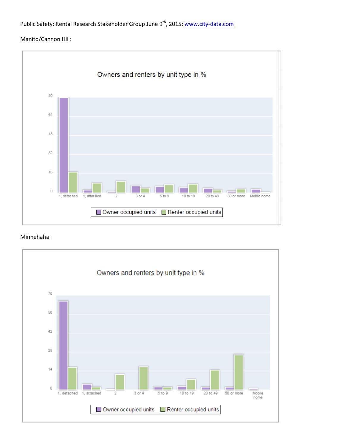### Manito/Cannon Hill:



#### Minnehaha:

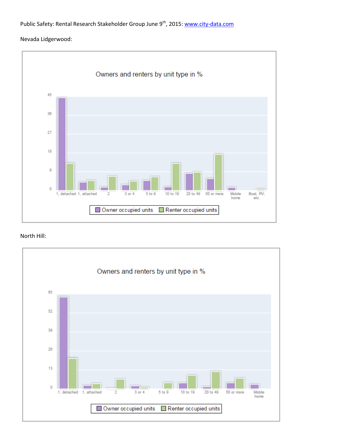#### Nevada Lidgerwood:



#### North Hill:

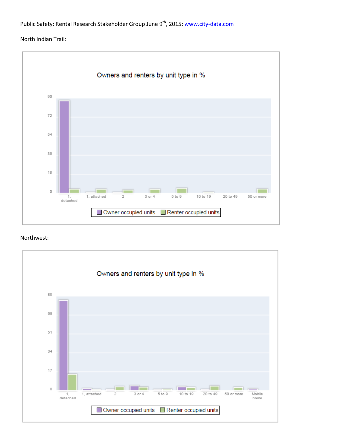#### North Indian Trail:



#### Northwest:

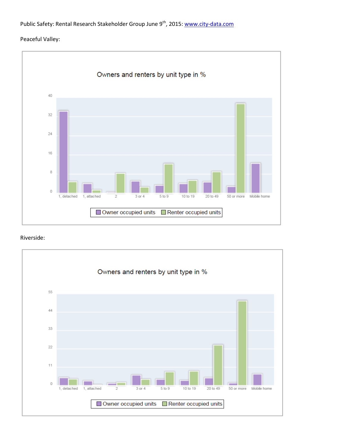#### Peaceful Valley:



#### Riverside:

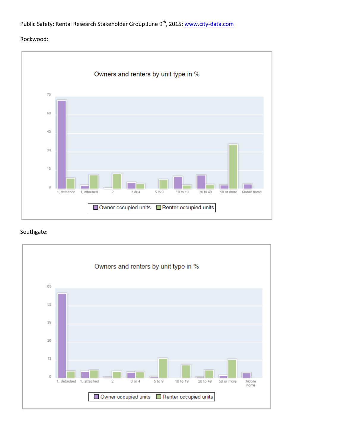#### Rockwood:



#### Southgate:

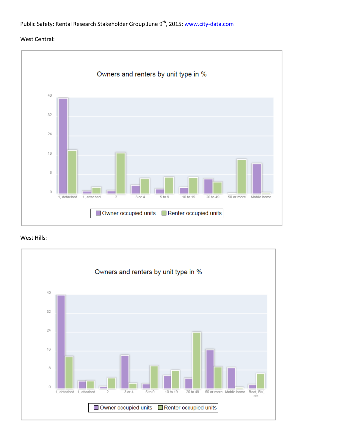#### West Central:



#### West Hills: